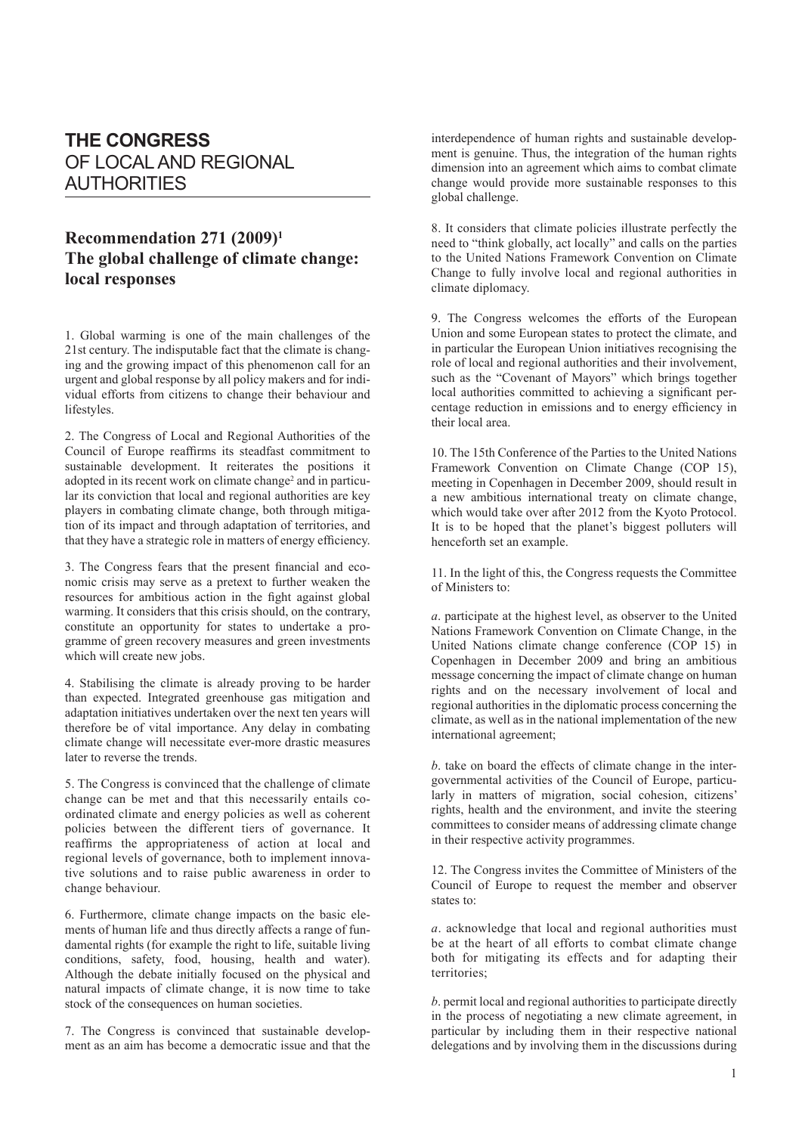## **THE CONGRESS** OF LOCAL AND REGIONAL AUTHORITIES

## **Recommendation 271 (2009)1 The global challenge of climate change: local responses**

1. Global warming is one of the main challenges of the 21st century. The indisputable fact that the climate is changing and the growing impact of this phenomenon call for an urgent and global response by all policy makers and for individual efforts from citizens to change their behaviour and lifestyles.

2. The Congress of Local and Regional Authorities of the Council of Europe reaffirms its steadfast commitment to sustainable development. It reiterates the positions it adopted in its recent work on climate change<sup>2</sup> and in particular its conviction that local and regional authorities are key players in combating climate change, both through mitigation of its impact and through adaptation of territories, and that they have a strategic role in matters of energy efficiency.

3. The Congress fears that the present financial and economic crisis may serve as a pretext to further weaken the resources for ambitious action in the fight against global warming. It considers that this crisis should, on the contrary, constitute an opportunity for states to undertake a programme of green recovery measures and green investments which will create new jobs.

4. Stabilising the climate is already proving to be harder than expected. Integrated greenhouse gas mitigation and adaptation initiatives undertaken over the next ten years will therefore be of vital importance. Any delay in combating climate change will necessitate ever-more drastic measures later to reverse the trends.

5. The Congress is convinced that the challenge of climate change can be met and that this necessarily entails coordinated climate and energy policies as well as coherent policies between the different tiers of governance. It reaffirms the appropriateness of action at local and regional levels of governance, both to implement innovative solutions and to raise public awareness in order to change behaviour.

6. Furthermore, climate change impacts on the basic elements of human life and thus directly affects a range of fundamental rights (for example the right to life, suitable living conditions, safety, food, housing, health and water). Although the debate initially focused on the physical and natural impacts of climate change, it is now time to take stock of the consequences on human societies.

7. The Congress is convinced that sustainable development as an aim has become a democratic issue and that the interdependence of human rights and sustainable development is genuine. Thus, the integration of the human rights dimension into an agreement which aims to combat climate change would provide more sustainable responses to this global challenge.

8. It considers that climate policies illustrate perfectly the need to "think globally, act locally" and calls on the parties to the United Nations Framework Convention on Climate Change to fully involve local and regional authorities in climate diplomacy.

9. The Congress welcomes the efforts of the European Union and some European states to protect the climate, and in particular the European Union initiatives recognising the role of local and regional authorities and their involvement, such as the "Covenant of Mayors" which brings together local authorities committed to achieving a significant percentage reduction in emissions and to energy efficiency in their local area.

10. The 15th Conference of the Parties to the United Nations Framework Convention on Climate Change (COP 15), meeting in Copenhagen in December 2009, should result in a new ambitious international treaty on climate change, which would take over after 2012 from the Kyoto Protocol. It is to be hoped that the planet's biggest polluters will henceforth set an example.

11. In the light of this, the Congress requests the Committee of Ministers to:

*a*. participate at the highest level, as observer to the United Nations Framework Convention on Climate Change, in the United Nations climate change conference (COP 15) in Copenhagen in December 2009 and bring an ambitious message concerning the impact of climate change on human rights and on the necessary involvement of local and regional authorities in the diplomatic process concerning the climate, as well as in the national implementation of the new international agreement;

*b*. take on board the effects of climate change in the intergovernmental activities of the Council of Europe, particularly in matters of migration, social cohesion, citizens' rights, health and the environment, and invite the steering committees to consider means of addressing climate change in their respective activity programmes.

12. The Congress invites the Committee of Ministers of the Council of Europe to request the member and observer states to:

*a*. acknowledge that local and regional authorities must be at the heart of all efforts to combat climate change both for mitigating its effects and for adapting their territories;

*b*. permit local and regional authorities to participate directly in the process of negotiating a new climate agreement, in particular by including them in their respective national delegations and by involving them in the discussions during